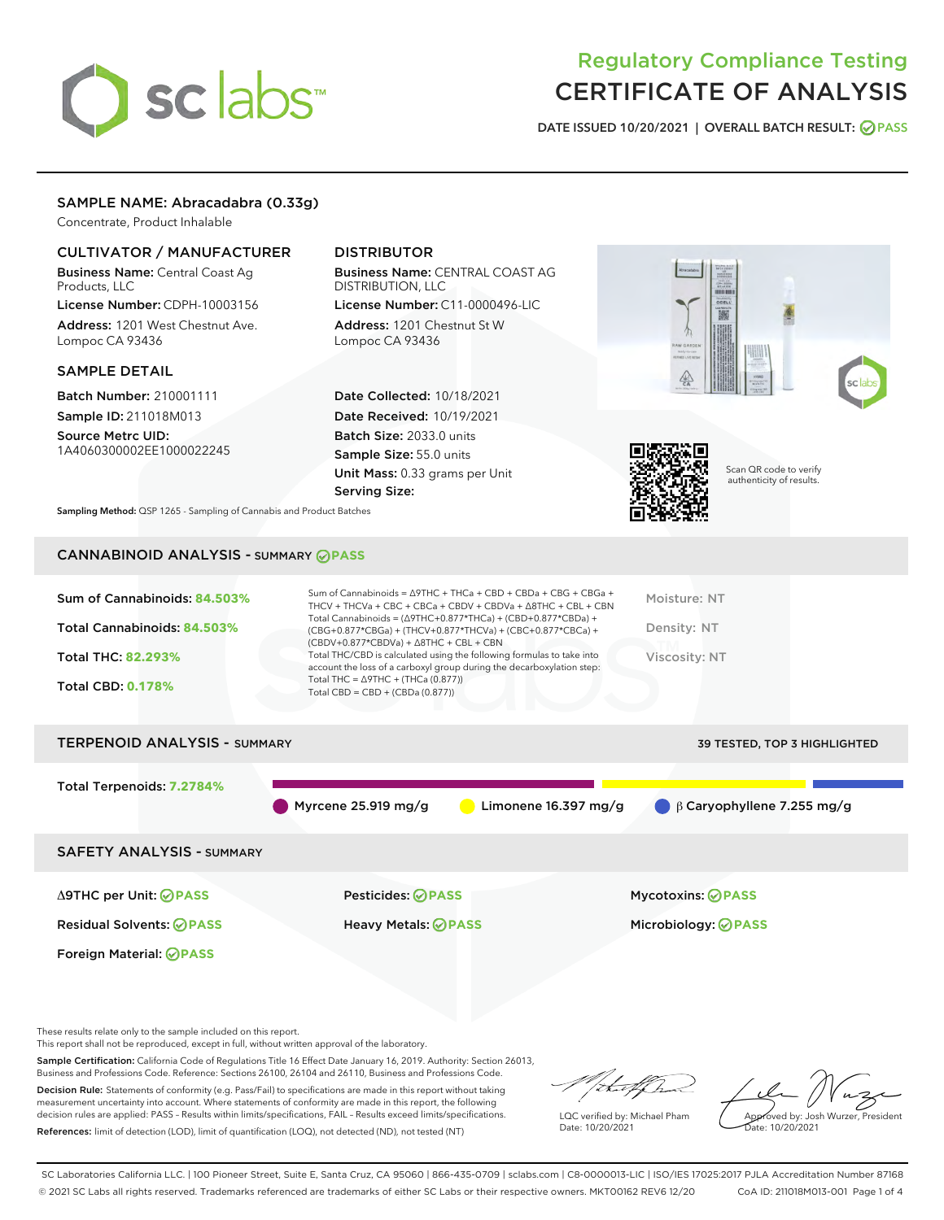# sclabs<sup>\*</sup>

# Regulatory Compliance Testing CERTIFICATE OF ANALYSIS

DATE ISSUED 10/20/2021 | OVERALL BATCH RESULT: @ PASS

# SAMPLE NAME: Abracadabra (0.33g)

Concentrate, Product Inhalable

# CULTIVATOR / MANUFACTURER

Business Name: Central Coast Ag Products, LLC

License Number: CDPH-10003156 Address: 1201 West Chestnut Ave. Lompoc CA 93436

# SAMPLE DETAIL

Batch Number: 210001111 Sample ID: 211018M013

Source Metrc UID: 1A4060300002EE1000022245

# DISTRIBUTOR

Business Name: CENTRAL COAST AG DISTRIBUTION, LLC

License Number: C11-0000496-LIC Address: 1201 Chestnut St W Lompoc CA 93436

Date Collected: 10/18/2021 Date Received: 10/19/2021 Batch Size: 2033.0 units Sample Size: 55.0 units Unit Mass: 0.33 grams per Unit Serving Size:





Scan QR code to verify authenticity of results.

Sampling Method: QSP 1265 - Sampling of Cannabis and Product Batches

# CANNABINOID ANALYSIS - SUMMARY **PASS**

| Sum of Cannabinoids: 84.503%<br>Total Cannabinoids: 84.503%<br><b>Total THC: 82.293%</b><br><b>Total CBD: 0.178%</b> | Sum of Cannabinoids = $\triangle$ 9THC + THCa + CBD + CBDa + CBG + CBGa +<br>THCV + THCVa + CBC + CBCa + CBDV + CBDVa + $\Delta$ 8THC + CBL + CBN<br>Total Cannabinoids = $(\Delta$ 9THC+0.877*THCa) + (CBD+0.877*CBDa) +<br>(CBG+0.877*CBGa) + (THCV+0.877*THCVa) + (CBC+0.877*CBCa) +<br>$(CBDV+0.877*CBDVa) + \Delta 8THC + CBL + CBN$<br>Total THC/CBD is calculated using the following formulas to take into<br>account the loss of a carboxyl group during the decarboxylation step:<br>Total THC = $\triangle$ 9THC + (THCa (0.877))<br>Total CBD = $CBD + (CBDa (0.877))$ | Moisture: NT<br>Density: NT<br>Viscosity: NT |
|----------------------------------------------------------------------------------------------------------------------|------------------------------------------------------------------------------------------------------------------------------------------------------------------------------------------------------------------------------------------------------------------------------------------------------------------------------------------------------------------------------------------------------------------------------------------------------------------------------------------------------------------------------------------------------------------------------------|----------------------------------------------|
| <b>TERPENOID ANALYSIS - SUMMARY</b>                                                                                  |                                                                                                                                                                                                                                                                                                                                                                                                                                                                                                                                                                                    | <b>39 TESTED, TOP 3 HIGHLIGHTED</b>          |
| Total Terpenoids: 7.2784%                                                                                            |                                                                                                                                                                                                                                                                                                                                                                                                                                                                                                                                                                                    |                                              |

SAFETY ANALYSIS - SUMMARY

Δ9THC per Unit: **PASS** Pesticides: **PASS** Mycotoxins: **PASS**

Foreign Material: **PASS**

Residual Solvents: **PASS** Heavy Metals: **PASS** Microbiology: **PASS**

These results relate only to the sample included on this report.

This report shall not be reproduced, except in full, without written approval of the laboratory.

Sample Certification: California Code of Regulations Title 16 Effect Date January 16, 2019. Authority: Section 26013, Business and Professions Code. Reference: Sections 26100, 26104 and 26110, Business and Professions Code.

Decision Rule: Statements of conformity (e.g. Pass/Fail) to specifications are made in this report without taking measurement uncertainty into account. Where statements of conformity are made in this report, the following decision rules are applied: PASS – Results within limits/specifications, FAIL – Results exceed limits/specifications. References: limit of detection (LOD), limit of quantification (LOQ), not detected (ND), not tested (NT)

that fCh

Myrcene 25.919 mg/g **C** Limonene 16.397 mg/g β Caryophyllene 7.255 mg/g

LQC verified by: Michael Pham Date: 10/20/2021

Approved by: Josh Wurzer, President ate: 10/20/2021

SC Laboratories California LLC. | 100 Pioneer Street, Suite E, Santa Cruz, CA 95060 | 866-435-0709 | sclabs.com | C8-0000013-LIC | ISO/IES 17025:2017 PJLA Accreditation Number 87168 © 2021 SC Labs all rights reserved. Trademarks referenced are trademarks of either SC Labs or their respective owners. MKT00162 REV6 12/20 CoA ID: 211018M013-001 Page 1 of 4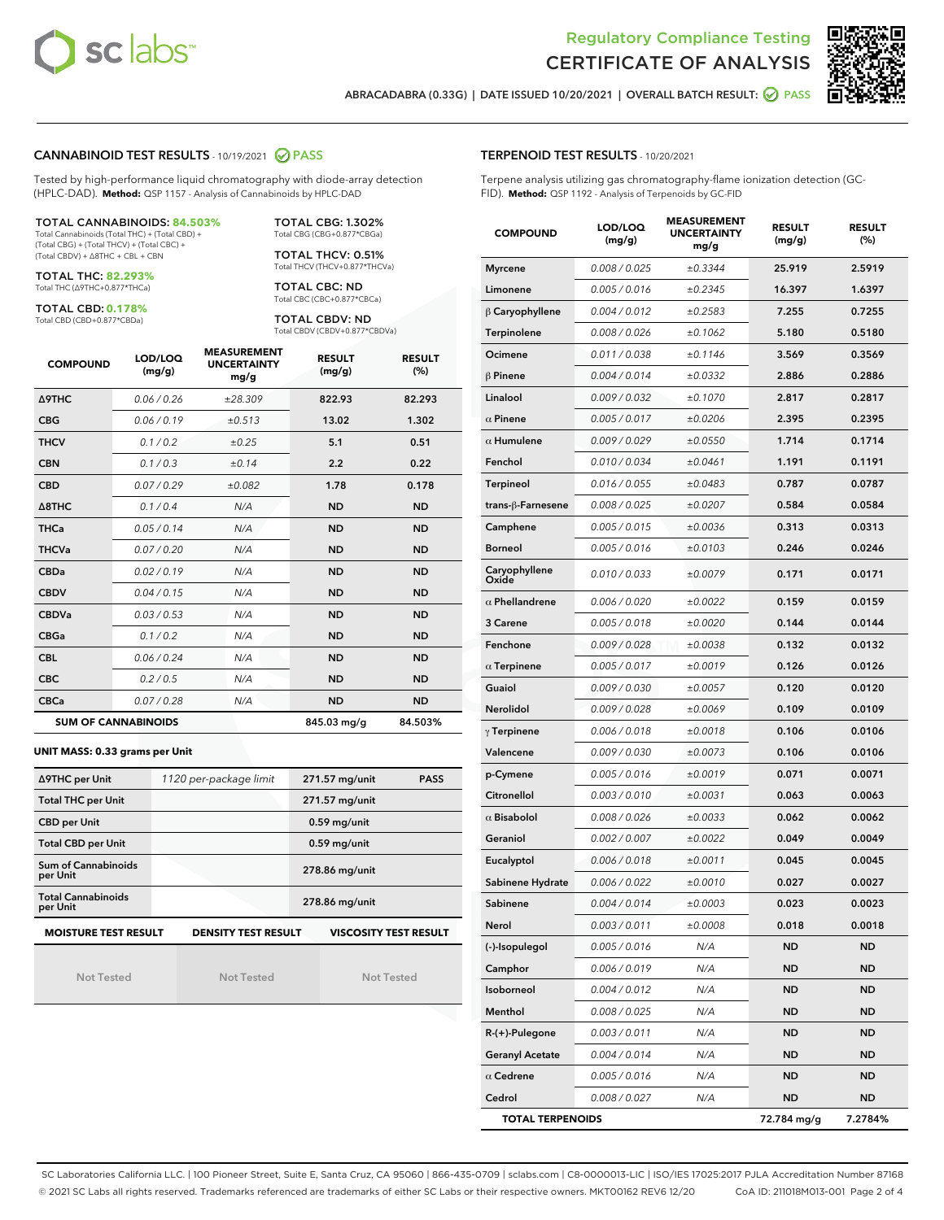



ABRACADABRA (0.33G) | DATE ISSUED 10/20/2021 | OVERALL BATCH RESULT: **● PASS** 

#### CANNABINOID TEST RESULTS - 10/19/2021 2 PASS

Tested by high-performance liquid chromatography with diode-array detection (HPLC-DAD). **Method:** QSP 1157 - Analysis of Cannabinoids by HPLC-DAD

#### TOTAL CANNABINOIDS: **84.503%**

Total Cannabinoids (Total THC) + (Total CBD) + (Total CBG) + (Total THCV) + (Total CBC) + (Total CBDV) + ∆8THC + CBL + CBN

TOTAL THC: **82.293%** Total THC (∆9THC+0.877\*THCa)

TOTAL CBD: **0.178%**

Total CBD (CBD+0.877\*CBDa)

TOTAL CBG: 1.302% Total CBG (CBG+0.877\*CBGa)

TOTAL THCV: 0.51% Total THCV (THCV+0.877\*THCVa)

TOTAL CBC: ND Total CBC (CBC+0.877\*CBCa)

TOTAL CBDV: ND Total CBDV (CBDV+0.877\*CBDVa)

| <b>COMPOUND</b>  | LOD/LOQ<br>(mg/g)          | <b>MEASUREMENT</b><br><b>UNCERTAINTY</b><br>mg/g | <b>RESULT</b><br>(mg/g) | <b>RESULT</b><br>(%) |
|------------------|----------------------------|--------------------------------------------------|-------------------------|----------------------|
| <b>A9THC</b>     | 0.06 / 0.26                | ±28.309                                          | 822.93                  | 82.293               |
| <b>CBG</b>       | 0.06/0.19                  | ±0.513                                           | 13.02                   | 1.302                |
| <b>THCV</b>      | 0.1/0.2                    | ±0.25                                            | 5.1                     | 0.51                 |
| <b>CBN</b>       | 0.1/0.3                    | ±0.14                                            | 2.2                     | 0.22                 |
| <b>CBD</b>       | 0.07/0.29                  | ±0.082                                           | 1.78                    | 0.178                |
| $\triangle$ 8THC | 0.1/0.4                    | N/A                                              | <b>ND</b>               | <b>ND</b>            |
| <b>THCa</b>      | 0.05/0.14                  | N/A                                              | <b>ND</b>               | <b>ND</b>            |
| <b>THCVa</b>     | 0.07/0.20                  | N/A                                              | <b>ND</b>               | <b>ND</b>            |
| <b>CBDa</b>      | 0.02/0.19                  | N/A                                              | <b>ND</b>               | <b>ND</b>            |
| <b>CBDV</b>      | 0.04/0.15                  | N/A                                              | <b>ND</b>               | <b>ND</b>            |
| <b>CBDVa</b>     | 0.03/0.53                  | N/A                                              | <b>ND</b>               | <b>ND</b>            |
| <b>CBGa</b>      | 0.1/0.2                    | N/A                                              | <b>ND</b>               | <b>ND</b>            |
| <b>CBL</b>       | 0.06 / 0.24                | N/A                                              | <b>ND</b>               | <b>ND</b>            |
| <b>CBC</b>       | 0.2 / 0.5                  | N/A                                              | <b>ND</b>               | <b>ND</b>            |
| <b>CBCa</b>      | 0.07/0.28                  | N/A                                              | <b>ND</b>               | <b>ND</b>            |
|                  | <b>SUM OF CANNABINOIDS</b> |                                                  | 845.03 mg/g             | 84.503%              |

#### **UNIT MASS: 0.33 grams per Unit**

| ∆9THC per Unit                        | 1120 per-package limit     | 271.57 mg/unit<br><b>PASS</b> |
|---------------------------------------|----------------------------|-------------------------------|
| <b>Total THC per Unit</b>             |                            | 271.57 mg/unit                |
| <b>CBD per Unit</b>                   |                            | $0.59$ mg/unit                |
| <b>Total CBD per Unit</b>             |                            | $0.59$ mg/unit                |
| Sum of Cannabinoids<br>per Unit       |                            | 278.86 mg/unit                |
| <b>Total Cannabinoids</b><br>per Unit |                            | 278.86 mg/unit                |
| <b>MOISTURE TEST RESULT</b>           | <b>DENSITY TEST RESULT</b> | <b>VISCOSITY TEST RESULT</b>  |

Not Tested

Not Tested

Not Tested

#### TERPENOID TEST RESULTS - 10/20/2021

Terpene analysis utilizing gas chromatography-flame ionization detection (GC-FID). **Method:** QSP 1192 - Analysis of Terpenoids by GC-FID

| <b>COMPOUND</b>         | LOD/LOQ<br>(mg/g) | <b>MEASUREMENT</b><br><b>UNCERTAINTY</b><br>mg/g | <b>RESULT</b><br>(mg/g) | <b>RESULT</b><br>$(\%)$ |
|-------------------------|-------------------|--------------------------------------------------|-------------------------|-------------------------|
| <b>Myrcene</b>          | 0.008 / 0.025     | ±0.3344                                          | 25.919                  | 2.5919                  |
| Limonene                | 0.005 / 0.016     | ±0.2345                                          | 16.397                  | 1.6397                  |
| $\beta$ Caryophyllene   | 0.004 / 0.012     | ±0.2583                                          | 7.255                   | 0.7255                  |
| Terpinolene             | 0.008 / 0.026     | ±0.1062                                          | 5.180                   | 0.5180                  |
| Ocimene                 | 0.011 / 0.038     | ±0.1146                                          | 3.569                   | 0.3569                  |
| $\beta$ Pinene          | 0.004 / 0.014     | ±0.0332                                          | 2.886                   | 0.2886                  |
| Linalool                | 0.009 / 0.032     | ±0.1070                                          | 2.817                   | 0.2817                  |
| $\alpha$ Pinene         | 0.005 / 0.017     | ±0.0206                                          | 2.395                   | 0.2395                  |
| $\alpha$ Humulene       | 0.009 / 0.029     | ±0.0550                                          | 1.714                   | 0.1714                  |
| Fenchol                 | 0.010 / 0.034     | ±0.0461                                          | 1.191                   | 0.1191                  |
| <b>Terpineol</b>        | 0.016 / 0.055     | ±0.0483                                          | 0.787                   | 0.0787                  |
| trans-ß-Farnesene       | 0.008 / 0.025     | ±0.0207                                          | 0.584                   | 0.0584                  |
| Camphene                | 0.005 / 0.015     | ±0.0036                                          | 0.313                   | 0.0313                  |
| <b>Borneol</b>          | 0.005 / 0.016     | ±0.0103                                          | 0.246                   | 0.0246                  |
| Caryophyllene<br>Oxide  | 0.010 / 0.033     | ±0.0079                                          | 0.171                   | 0.0171                  |
| $\alpha$ Phellandrene   | 0.006 / 0.020     | ±0.0022                                          | 0.159                   | 0.0159                  |
| 3 Carene                | 0.005 / 0.018     | ±0.0020                                          | 0.144                   | 0.0144                  |
| Fenchone                | 0.009 / 0.028     | ±0.0038                                          | 0.132                   | 0.0132                  |
| $\alpha$ Terpinene      | 0.005 / 0.017     | ±0.0019                                          | 0.126                   | 0.0126                  |
| Guaiol                  | 0.009 / 0.030     | ±0.0057                                          | 0.120                   | 0.0120                  |
| Nerolidol               | 0.009 / 0.028     | ±0.0069                                          | 0.109                   | 0.0109                  |
| $\gamma$ Terpinene      | 0.006 / 0.018     | ±0.0018                                          | 0.106                   | 0.0106                  |
| Valencene               | 0.009 / 0.030     | ±0.0073                                          | 0.106                   | 0.0106                  |
| p-Cymene                | 0.005 / 0.016     | ±0.0019                                          | 0.071                   | 0.0071                  |
| Citronellol             | 0.003 / 0.010     | ±0.0031                                          | 0.063                   | 0.0063                  |
| $\alpha$ Bisabolol      | 0.008 / 0.026     | ±0.0033                                          | 0.062                   | 0.0062                  |
| Geraniol                | 0.002 / 0.007     | ±0.0022                                          | 0.049                   | 0.0049                  |
| Eucalyptol              | 0.006 / 0.018     | ±0.0011                                          | 0.045                   | 0.0045                  |
| Sabinene Hydrate        | 0.006 / 0.022     | ±0.0010                                          | 0.027                   | 0.0027                  |
| Sabinene                | 0.004 / 0.014     | ±0.0003                                          | 0.023                   | 0.0023                  |
| Nerol                   | 0.003 / 0.011     | ±0.0008                                          | 0.018                   | 0.0018                  |
| (-)-Isopulegol          | 0.005 / 0.016     | N/A                                              | ND                      | <b>ND</b>               |
| Camphor                 | 0.006 / 0.019     | N/A                                              | ND                      | <b>ND</b>               |
| Isoborneol              | 0.004 / 0.012     | N/A                                              | ND                      | <b>ND</b>               |
| Menthol                 | 0.008 / 0.025     | N/A                                              | ND                      | ND                      |
| $R-(+)$ -Pulegone       | 0.003 / 0.011     | N/A                                              | ND                      | ND                      |
| <b>Geranyl Acetate</b>  | 0.004 / 0.014     | N/A                                              | ND                      | <b>ND</b>               |
| $\alpha$ Cedrene        | 0.005 / 0.016     | N/A                                              | ND                      | ND                      |
| Cedrol                  | 0.008 / 0.027     | N/A                                              | ND                      | <b>ND</b>               |
| <b>TOTAL TERPENOIDS</b> |                   |                                                  | 72.784 mg/g             | 7.2784%                 |

SC Laboratories California LLC. | 100 Pioneer Street, Suite E, Santa Cruz, CA 95060 | 866-435-0709 | sclabs.com | C8-0000013-LIC | ISO/IES 17025:2017 PJLA Accreditation Number 87168 © 2021 SC Labs all rights reserved. Trademarks referenced are trademarks of either SC Labs or their respective owners. MKT00162 REV6 12/20 CoA ID: 211018M013-001 Page 2 of 4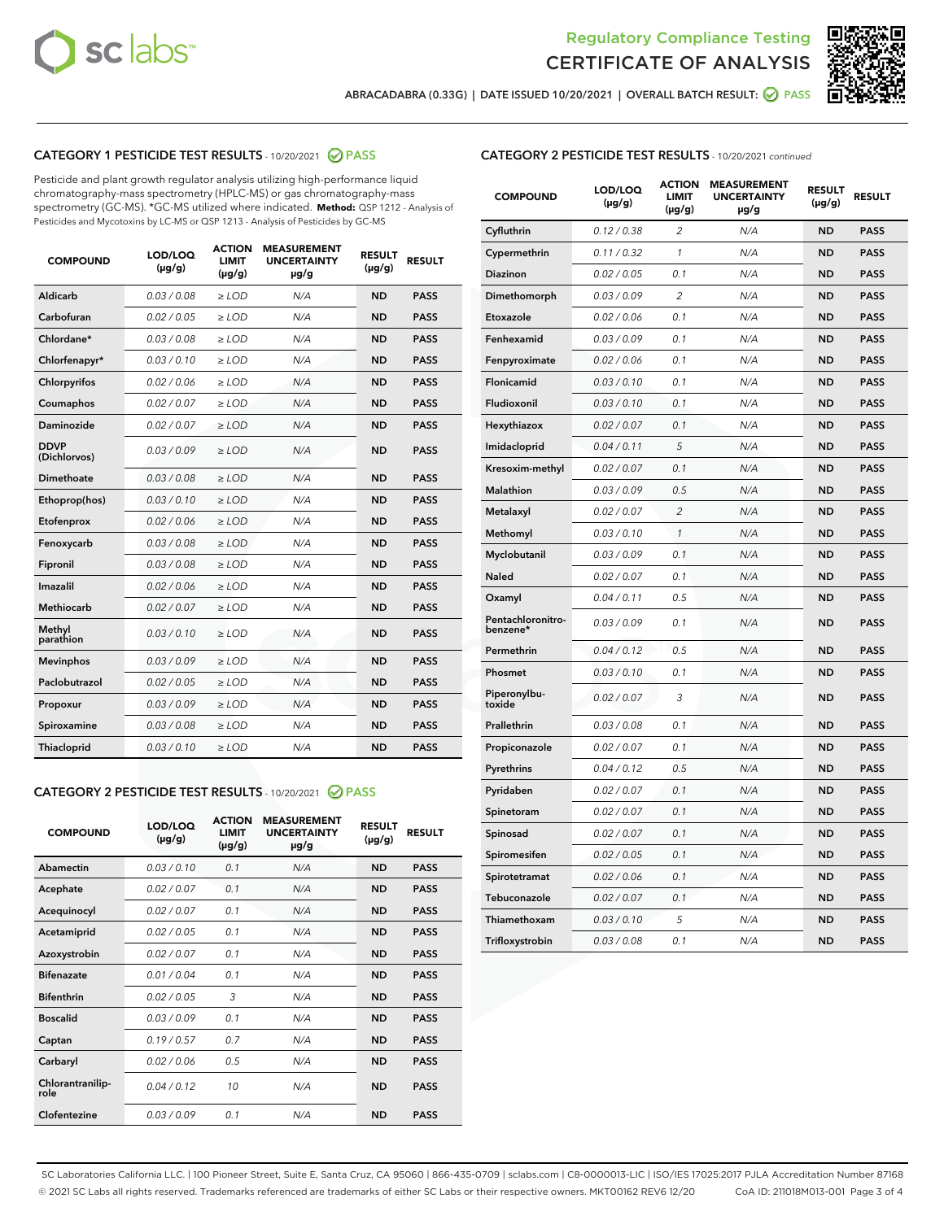



ABRACADABRA (0.33G) | DATE ISSUED 10/20/2021 | OVERALL BATCH RESULT:  $\bigcirc$  PASS

# CATEGORY 1 PESTICIDE TEST RESULTS - 10/20/2021 2 PASS

Pesticide and plant growth regulator analysis utilizing high-performance liquid chromatography-mass spectrometry (HPLC-MS) or gas chromatography-mass spectrometry (GC-MS). \*GC-MS utilized where indicated. **Method:** QSP 1212 - Analysis of Pesticides and Mycotoxins by LC-MS or QSP 1213 - Analysis of Pesticides by GC-MS

| <b>COMPOUND</b>             | LOD/LOQ<br>$(\mu g/g)$ | <b>ACTION</b><br>LIMIT<br>$(\mu g/g)$ | <b>MEASUREMENT</b><br><b>UNCERTAINTY</b><br>$\mu$ g/g | <b>RESULT</b><br>$(\mu g/g)$ | <b>RESULT</b> |
|-----------------------------|------------------------|---------------------------------------|-------------------------------------------------------|------------------------------|---------------|
| Aldicarb                    | 0.03/0.08              | $>$ LOD                               | N/A                                                   | <b>ND</b>                    | <b>PASS</b>   |
| Carbofuran                  | 0.02 / 0.05            | ≥ LOD                                 | N/A                                                   | <b>ND</b>                    | <b>PASS</b>   |
| Chlordane*                  | 0.03 / 0.08            | $\ge$ LOD                             | N/A                                                   | <b>ND</b>                    | <b>PASS</b>   |
| Chlorfenapyr*               | 0.03/0.10              | $>$ LOD                               | N/A                                                   | <b>ND</b>                    | <b>PASS</b>   |
| Chlorpyrifos                | 0.02 / 0.06            | $\ge$ LOD                             | N/A                                                   | <b>ND</b>                    | <b>PASS</b>   |
| Coumaphos                   | 0.02 / 0.07            | $\geq$ LOD                            | N/A                                                   | <b>ND</b>                    | <b>PASS</b>   |
| Daminozide                  | 0.02 / 0.07            | $>$ LOD                               | N/A                                                   | <b>ND</b>                    | <b>PASS</b>   |
| <b>DDVP</b><br>(Dichlorvos) | 0.03/0.09              | $\geq$ LOD                            | N/A                                                   | <b>ND</b>                    | <b>PASS</b>   |
| <b>Dimethoate</b>           | 0.03 / 0.08            | $\geq$ LOD                            | N/A                                                   | <b>ND</b>                    | <b>PASS</b>   |
| Ethoprop(hos)               | 0.03/0.10              | $>$ LOD                               | N/A                                                   | <b>ND</b>                    | <b>PASS</b>   |
| Etofenprox                  | 0.02 / 0.06            | $\ge$ LOD                             | N/A                                                   | <b>ND</b>                    | <b>PASS</b>   |
| Fenoxycarb                  | 0.03 / 0.08            | $\geq$ LOD                            | N/A                                                   | <b>ND</b>                    | <b>PASS</b>   |
| Fipronil                    | 0.03 / 0.08            | $\geq$ LOD                            | N/A                                                   | <b>ND</b>                    | <b>PASS</b>   |
| Imazalil                    | 0.02 / 0.06            | $\geq$ LOD                            | N/A                                                   | <b>ND</b>                    | <b>PASS</b>   |
| Methiocarb                  | 0.02 / 0.07            | $>$ LOD                               | N/A                                                   | <b>ND</b>                    | <b>PASS</b>   |
| Methyl<br>parathion         | 0.03/0.10              | > LOD                                 | N/A                                                   | <b>ND</b>                    | <b>PASS</b>   |
| <b>Mevinphos</b>            | 0.03/0.09              | $\geq$ LOD                            | N/A                                                   | <b>ND</b>                    | <b>PASS</b>   |
| Paclobutrazol               | 0.02 / 0.05            | $>$ LOD                               | N/A                                                   | <b>ND</b>                    | <b>PASS</b>   |
| Propoxur                    | 0.03/0.09              | $\ge$ LOD                             | N/A                                                   | <b>ND</b>                    | <b>PASS</b>   |
| Spiroxamine                 | 0.03 / 0.08            | $\geq$ LOD                            | N/A                                                   | <b>ND</b>                    | <b>PASS</b>   |
| Thiacloprid                 | 0.03/0.10              | $\geq$ LOD                            | N/A                                                   | <b>ND</b>                    | <b>PASS</b>   |

#### CATEGORY 2 PESTICIDE TEST RESULTS - 10/20/2021 @ PASS

| <b>COMPOUND</b>          | LOD/LOO<br>$(\mu g/g)$ | <b>ACTION</b><br>LIMIT<br>$(\mu g/g)$ | <b>MEASUREMENT</b><br><b>UNCERTAINTY</b><br>$\mu$ g/g | <b>RESULT</b><br>$(\mu g/g)$ | <b>RESULT</b> |
|--------------------------|------------------------|---------------------------------------|-------------------------------------------------------|------------------------------|---------------|
| Abamectin                | 0.03/0.10              | 0.1                                   | N/A                                                   | <b>ND</b>                    | <b>PASS</b>   |
| Acephate                 | 0.02/0.07              | 0.1                                   | N/A                                                   | <b>ND</b>                    | <b>PASS</b>   |
| Acequinocyl              | 0.02/0.07              | 0.1                                   | N/A                                                   | <b>ND</b>                    | <b>PASS</b>   |
| Acetamiprid              | 0.02/0.05              | 0.1                                   | N/A                                                   | <b>ND</b>                    | <b>PASS</b>   |
| Azoxystrobin             | 0.02/0.07              | 0.1                                   | N/A                                                   | <b>ND</b>                    | <b>PASS</b>   |
| <b>Bifenazate</b>        | 0.01 / 0.04            | 0.1                                   | N/A                                                   | <b>ND</b>                    | <b>PASS</b>   |
| <b>Bifenthrin</b>        | 0.02 / 0.05            | 3                                     | N/A                                                   | <b>ND</b>                    | <b>PASS</b>   |
| <b>Boscalid</b>          | 0.03/0.09              | 0.1                                   | N/A                                                   | <b>ND</b>                    | <b>PASS</b>   |
| Captan                   | 0.19/0.57              | 0.7                                   | N/A                                                   | <b>ND</b>                    | <b>PASS</b>   |
| Carbaryl                 | 0.02/0.06              | 0.5                                   | N/A                                                   | <b>ND</b>                    | <b>PASS</b>   |
| Chlorantranilip-<br>role | 0.04/0.12              | 10                                    | N/A                                                   | <b>ND</b>                    | <b>PASS</b>   |
| Clofentezine             | 0.03/0.09              | 0.1                                   | N/A                                                   | <b>ND</b>                    | <b>PASS</b>   |

| <b>COMPOUND</b>               | LOD/LOQ<br>(µg/g) | <b>ACTION</b><br><b>LIMIT</b><br>(µg/g) | <b>MEASUREMENT</b><br><b>UNCERTAINTY</b><br>µg/g | <b>RESULT</b><br>(µg/g) | <b>RESULT</b> |
|-------------------------------|-------------------|-----------------------------------------|--------------------------------------------------|-------------------------|---------------|
| Cyfluthrin                    | 0.12 / 0.38       | 2                                       | N/A                                              | <b>ND</b>               | <b>PASS</b>   |
| Cypermethrin                  | 0.11 / 0.32       | 1                                       | N/A                                              | <b>ND</b>               | <b>PASS</b>   |
| Diazinon                      | 0.02 / 0.05       | 0.1                                     | N/A                                              | <b>ND</b>               | <b>PASS</b>   |
| Dimethomorph                  | 0.03 / 0.09       | 2                                       | N/A                                              | <b>ND</b>               | <b>PASS</b>   |
| Etoxazole                     | 0.02 / 0.06       | 0.1                                     | N/A                                              | <b>ND</b>               | <b>PASS</b>   |
| Fenhexamid                    | 0.03 / 0.09       | 0.1                                     | N/A                                              | <b>ND</b>               | <b>PASS</b>   |
| Fenpyroximate                 | 0.02 / 0.06       | 0.1                                     | N/A                                              | <b>ND</b>               | <b>PASS</b>   |
| Flonicamid                    | 0.03 / 0.10       | 0.1                                     | N/A                                              | <b>ND</b>               | <b>PASS</b>   |
| Fludioxonil                   | 0.03/0.10         | 0.1                                     | N/A                                              | <b>ND</b>               | <b>PASS</b>   |
| Hexythiazox                   | 0.02 / 0.07       | 0.1                                     | N/A                                              | <b>ND</b>               | <b>PASS</b>   |
| Imidacloprid                  | 0.04 / 0.11       | 5                                       | N/A                                              | <b>ND</b>               | <b>PASS</b>   |
| Kresoxim-methyl               | 0.02 / 0.07       | 0.1                                     | N/A                                              | <b>ND</b>               | <b>PASS</b>   |
| <b>Malathion</b>              | 0.03 / 0.09       | 0.5                                     | N/A                                              | <b>ND</b>               | <b>PASS</b>   |
| Metalaxyl                     | 0.02 / 0.07       | $\overline{c}$                          | N/A                                              | <b>ND</b>               | <b>PASS</b>   |
| Methomyl                      | 0.03 / 0.10       | $\mathcal{I}$                           | N/A                                              | <b>ND</b>               | <b>PASS</b>   |
| Myclobutanil                  | 0.03 / 0.09       | 0.1                                     | N/A                                              | <b>ND</b>               | <b>PASS</b>   |
| <b>Naled</b>                  | 0.02 / 0.07       | 0.1                                     | N/A                                              | <b>ND</b>               | <b>PASS</b>   |
| Oxamyl                        | 0.04 / 0.11       | 0.5                                     | N/A                                              | ND                      | <b>PASS</b>   |
| Pentachloronitro-<br>benzene* | 0.03 / 0.09       | 0.1                                     | N/A                                              | <b>ND</b>               | <b>PASS</b>   |
| Permethrin                    | 0.04 / 0.12       | 0.5                                     | N/A                                              | <b>ND</b>               | <b>PASS</b>   |
| Phosmet                       | 0.03/0.10         | 0.1                                     | N/A                                              | <b>ND</b>               | <b>PASS</b>   |
| Piperonylbu-<br>toxide        | 0.02 / 0.07       | 3                                       | N/A                                              | <b>ND</b>               | <b>PASS</b>   |
| Prallethrin                   | 0.03 / 0.08       | 0.1                                     | N/A                                              | <b>ND</b>               | <b>PASS</b>   |
| Propiconazole                 | 0.02 / 0.07       | 0.1                                     | N/A                                              | <b>ND</b>               | <b>PASS</b>   |
| Pyrethrins                    | 0.04 / 0.12       | 0.5                                     | N/A                                              | <b>ND</b>               | <b>PASS</b>   |
| Pyridaben                     | 0.02 / 0.07       | 0.1                                     | N/A                                              | <b>ND</b>               | <b>PASS</b>   |
| Spinetoram                    | 0.02 / 0.07       | 0.1                                     | N/A                                              | <b>ND</b>               | <b>PASS</b>   |
| Spinosad                      | 0.02 / 0.07       | 0.1                                     | N/A                                              | <b>ND</b>               | <b>PASS</b>   |
| Spiromesifen                  | 0.02 / 0.05       | 0.1                                     | N/A                                              | <b>ND</b>               | <b>PASS</b>   |
| Spirotetramat                 | 0.02 / 0.06       | 0.1                                     | N/A                                              | <b>ND</b>               | <b>PASS</b>   |
| Tebuconazole                  | 0.02 / 0.07       | 0.1                                     | N/A                                              | ND                      | <b>PASS</b>   |
| Thiamethoxam                  | 0.03 / 0.10       | 5                                       | N/A                                              | <b>ND</b>               | <b>PASS</b>   |
| Trifloxystrobin               | 0.03 / 0.08       | 0.1                                     | N/A                                              | <b>ND</b>               | <b>PASS</b>   |

SC Laboratories California LLC. | 100 Pioneer Street, Suite E, Santa Cruz, CA 95060 | 866-435-0709 | sclabs.com | C8-0000013-LIC | ISO/IES 17025:2017 PJLA Accreditation Number 87168 © 2021 SC Labs all rights reserved. Trademarks referenced are trademarks of either SC Labs or their respective owners. MKT00162 REV6 12/20 CoA ID: 211018M013-001 Page 3 of 4